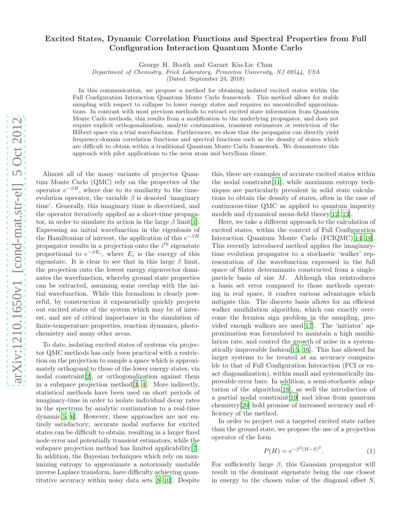## Excited States, Dynamic Correlation Functions and Spectral Properties from Full Configuration Interaction Quantum Monte Carlo

George H. Booth and Garnet Kin-Lic Chan

Department of Chemistry, Frick Laboratory, Princeton University, NJ 08544, USA

(Dated: September 24, 2018)

In this communication, we propose a method for obtaining isolated excited states within the Full Configuration Interaction Quantum Monte Carlo framework. This method allows for stable sampling with respect to collapse to lower energy states and requires no uncontrolled approximations. In contrast with most previous methods to extract excited state information from Quantum Monte Carlo methods, this results from a modification to the underlying propagator, and does not require explicit orthogonalization, analytic continuation, transient estimators or restriction of the Hilbert space via a trial wavefunction. Furthermore, we show that the propagator can directly yield frequency-domain correlation functions and spectral functions such as the density of states which are difficult to obtain within a traditional Quantum Monte Carlo framework. We demonstrate this approach with pilot applications to the neon atom and beryllium dimer.

Almost all of the many variants of projector Quantum Monte Carlo (QMC) rely on the properties of the operator  $e^{-\beta H}$ , where due to its similarity to the timeevolution operator, the variable  $\beta$  is denoted 'imaginary time'. Generally, this imaginary time is discretized, and the operator iteratively applied as a short-time propagator, in order to simulate its action in the large  $\beta$  limit[\[1\]](#page-4-0). Expressing an initial wavefunction in the eigenbasis of the Hamiltonian of interest, the application of this  $e^{-\beta H}$ propagator results in a projection onto the  $i<sup>th</sup>$  eigenstate proportional to  $e^{-\beta E_i}$ , where  $E_i$  is the energy of this eigenstate. It is clear to see that in this large  $\beta$  limit, the projection onto the lowest energy eigenvector dominates the wavefunction, whereby ground state properties can be extracted, assuming some overlap with the initial wavefunction. While this formalism is clearly powerful, by construction it exponentially quickly projects out excited states of the system which may be of interest, and are of critical importance in the simulation of finite-temperature properties, reaction dynamics, photochemistry and many other areas.

To date, isolating excited states of systems via projector QMC methods has only been practical with a restriction on the projection to sample a space which is approximately orthogonal to those of the lower energy states, via nodal constraint[\[2\]](#page-4-1), or orthogonalization against them in a subspace projection method[\[3](#page-4-2), [4\]](#page-4-3). More indirectly, statistical methods have been used on short periods of imaginary-time in order to isolate individual decay rates in the spectrum by analytic continuation to a real-time dynamic[\[5,](#page-4-4) [6\]](#page-4-5). However, these approaches are not entirely satisfactory; accurate nodal surfaces for excited states can be difficult to obtain, resulting in a larger fixed node error and potentially transient estimators, while the subspace projection method has limited applicability[\[7\]](#page-4-6). In addition, the Bayesian techniques which rely on maximizing entropy to approximate a notoriously unstable inverse Laplace transform, have difficulty achieving quantitative accuracy within noisy data sets [\[8](#page-4-7)[–10\]](#page-4-8). Despite

this, there are examples of accurate excited states within the nodal constraint[\[11\]](#page-4-9), while maximum entropy techniques are particularly prevalent in solid state calculations to obtain the density of states, often in the case of continuous-time QMC as applied to quantum impurity models and dynamical mean-field theory[\[12,](#page-4-10) [13\]](#page-4-11).

Here, we take a different approach to the calculation of excited states, within the context of Full Configuration Interaction Quantum Monte Carlo (FCIQMC)[\[14](#page-4-12)[–16\]](#page-4-13). This recently introduced method applies the imaginarytime evolution propagator to a stochastic 'walker' representation of the wavefunction expressed in the full space of Slater determinants constructed from a singleparticle basis of size  $M$ . Although this reintroduces a basis set error compared to those methods operating in real space, it confers various advantages which mitigate this. The discrete basis allows for an efficient walker annihilation algorithm, which can exactly overcome the fermion sign problem in the sampling, provided enough walkers are used[\[17](#page-4-14)]. The 'initiator' approximation was formulated to maintain a high annihilation rate, and control the growth of noise in a systematically improvable fashion[\[15,](#page-4-15) [16](#page-4-13)]. This has allowed far larger systems to be treated at an accuracy comparable to that of Full Configuration Interaction (FCI or exact diagonalization), within small and systematically improvable error bars. In addition, a semi-stochastic adaptation of the algorithm[\[18\]](#page-4-16), as well the introduction of a partial nodal constraint[\[19\]](#page-4-17) and ideas from quantum chemistry[\[20\]](#page-4-18) hold promise of increased accuracy and efficiency of the method.

In order to project out a targeted excited state rather than the ground state, we propose the use of a projection operator of the form

<span id="page-0-0"></span>
$$
P(H) = e^{-\beta^2 (H - S)^2}.
$$
 (1)

For sufficiently large  $\beta$ , this Gaussian propagator will result in the dominant eigenstate being the one closest in energy to the chosen value of the diagonal offset  $S$ ,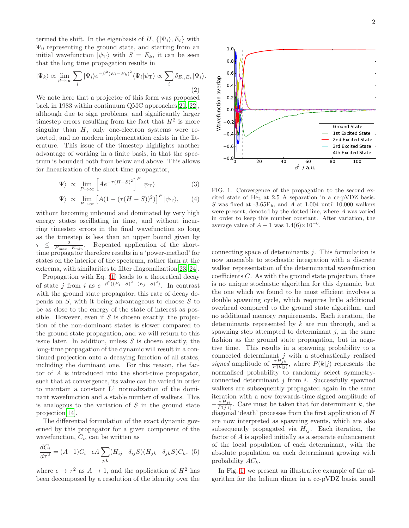termed the shift. In the eigenbasis of H,  $\{|\Psi_i\rangle, E_i\}$  with  $\Psi_0$  representing the ground state, and starting from an initial wavefunction  $|\psi_{\text{T}}\rangle$  with  $S = E_k$ , it can be seen that the long time propagation results in

$$
|\Psi_k\rangle \propto \lim_{\beta \to \infty} \sum_i |\Psi_i\rangle e^{-\beta^2 (E_i - E_k)^2} \langle \Psi_i | \psi_\text{T} \rangle \propto \sum_i \delta_{E_i, E_k} |\Psi_i\rangle.
$$
\n(2)

We note here that a projector of this form was proposed back in 1983 within continuum QMC approaches[\[21,](#page-4-19) [22\]](#page-4-20), although due to sign problems, and significantly larger timestep errors resulting from the fact that  $H^2$  is more singular than  $H$ , only one-electron systems were reported, and no modern implementation exists in the literature. This issue of the timestep highlights another advantage of working in a finite basis, in that the spectrum is bounded both from below and above. This allows for linearization of the short-time propagator,

$$
|\Psi\rangle \propto \lim_{P \to \infty} \left[ A e^{-\tau (H - S)^2} \right]^P |\psi_\text{T}\rangle \tag{3}
$$

$$
|\Psi\rangle \propto \lim_{P \to \infty} \left[ A(1 - (\tau(H - S))^2) \right]^P |\psi_T\rangle, \qquad (4)
$$

without becoming unbound and dominated by very high energy states oscillating in time, and without incurring timestep errors in the final wavefunction so long as the timestep is less than an upper bound given by  $\tau \leq \frac{2}{E_{\text{max}}-E_{\text{min}}}.$  Repeated application of the shorttime propagator therefore results in a 'power-method' for states on the interior of the spectrum, rather than at the extrema, with similarities to filter diagonalization[\[23,](#page-4-21) [24\]](#page-4-22).

Propagation with Eq. [\(1\)](#page-0-0) leads to a theoretical decay of state j from i as  $e^{-\beta^2((E_i-S)^2-(E_j-S)^2)}$ . In contrast with the ground state propagator, this rate of decay depends on  $S$ , with it being advantageous to choose  $S$  to be as close to the energy of the state of interest as possible. However, even if  $S$  is chosen exactly, the projection of the non-dominant states is slower compared to the ground state propagation, and we will return to this issue later. In addition, unless  $S$  is chosen exactly, the long-time propagation of the dynamic will result in a continued projection onto a decaying function of all states, including the dominant one. For this reason, the factor of A is introduced into the short-time propagator, such that at convergence, its value can be varied in order to maintain a constant  $L^1$  normalization of the dominant wavefunction and a stable number of walkers. This is analogous to the variation of  $S$  in the ground state projection[\[14\]](#page-4-12).

The differential formulation of the exact dynamic governed by this propagator for a given component of the wavefunction,  $C_i$ , can be written as

<span id="page-1-1"></span>
$$
\frac{dC_i}{d\tau^2} = (A-1)C_i - \epsilon A \sum_{j,k} (H_{ij} - \delta_{ij}S)(H_{jk} - \delta_{jk}S)C_k, (5)
$$

where  $\epsilon \to \tau^2$  as  $A \to 1$ , and the application of  $H^2$  has been decomposed by a resolution of the identity over the

<span id="page-1-0"></span>FIG. 1: Convergence of the propagation to the second excited state of He<sub>2</sub> at 2.5 Å separation in a cc-pVDZ basis. S was fixed at  $-3.65E_h$ , and A at 1.004 until 10,000 walkers were present, denoted by the dotted line, where A was varied in order to keep this number constant. After variation, the average value of  $A - 1$  was  $1.4(6) \times 10^{-6}$ .

connecting space of determinants  $j$ . This formulation is now amenable to stochastic integration with a discrete walker representation of the determinantal wavefunction coefficients  $C$ . As with the ground state projection, there is no unique stochastic algorithm for this dynamic, but the one which we found to be most efficient involves a double spawning cycle, which requires little additional overhead compared to the ground state algorithm, and no additional memory requirements. Each iteration, the determinants represented by k are run through, and a spawning step attempted to determinant  $i$ , in the same fashion as the ground state propagation, but in negative time. This results in a spawning probability to a connected determinant  $j$  with a stochastically realised signed amplitude of  $\frac{\tau H_{jk}}{P(k|j)}$ , where  $P(k|j)$  represents the normalised probability to randomly select symmetryconnected determinant  $j$  from  $i$ . Successfully spawned walkers are subsequently propagated again in the same iteration with a now forwards-time signed amplitude of  $-\frac{\tau H_{ji}}{P(j|i)}$  $\frac{r_{Hji}}{P(j|i)}$ . Care must be taken that for determinant k, the diagonal 'death' processes from the first application of H are now interpreted as spawning events, which are also subsequently propagated via  $H_{ij}$ . Each iteration, the factor of A is applied initially as a separate enhancement of the local population of each determinant, with the absolute population on each determinant growing with probability  $AC_k$ .

In Fig. [1,](#page-1-0) we present an illustrative example of the algorithm for the helium dimer in a cc-pVDZ basis, small

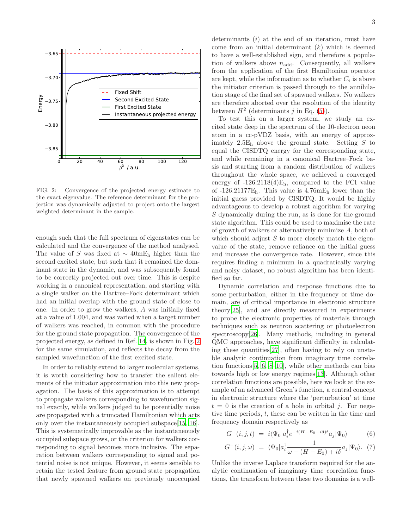

<span id="page-2-0"></span>FIG. 2: Convergence of the projected energy estimate to the exact eigenvalue. The reference determinant for the projection was dynamically adjusted to project onto the largest weighted determinant in the sample.

enough such that the full spectrum of eigenstates can be calculated and the convergence of the method analysed. The value of S was fixed at  $\sim 40$ mE<sub>h</sub> higher than the second excited state, but such that it remained the dominant state in the dynamic, and was subsequently found to be correctly projected out over time. This is despite working in a canonical representation, and starting with a single walker on the Hartree–Fock determinant which had an initial overlap with the ground state of close to one. In order to grow the walkers, A was initially fixed at a value of 1.004, and was varied when a target number of walkers was reached, in common with the procedure for the ground state propagation. The convergence of the projected energy, as defined in Ref. [14](#page-4-12), is shown in Fig. [2](#page-2-0) for the same simulation, and reflects the decay from the sampled wavefunction of the first excited state.

In order to reliably extend to larger molecular systems, it is worth considering how to transfer the salient elements of the initiator approximation into this new propagation. The basis of this approximation is to attempt to propagate walkers corresponding to wavefunction signal exactly, while walkers judged to be potentially noise are propagated with a truncated Hamiltonian which acts only over the instantaneously occupied subspace[\[15,](#page-4-15) [16\]](#page-4-13). This is systematically improvable as the instantaneously occupied subspace grows, or the criterion for walkers corresponding to signal becomes more inclusive. The separation between walkers corresponding to signal and potential noise is not unique. However, it seems sensible to retain the tested feature from ground state propagation that newly spawned walkers on previously unoccupied

determinants  $(i)$  at the end of an iteration, must have come from an initial determinant  $(k)$  which is deemed to have a well-established sign, and therefore a population of walkers above  $n_{\text{add}}$ . Consequently, all walkers from the application of the first Hamiltonian operator are kept, while the information as to whether  $C_i$  is above the initiator criterion is passed through to the annihilation stage of the final set of spawned walkers. No walkers are therefore aborted over the resolution of the identity between  $H^2$  (determinants j in Eq. [\(5\)](#page-1-1)).

To test this on a larger system, we study an excited state deep in the spectrum of the 10-electron neon atom in a cc-pVDZ basis, with an energy of approximately  $2.5E_h$  above the ground state. Setting S to equal the CISDTQ energy for the corresponding state, and while remaining in a canonical Hartree–Fock basis and starting from a random distribution of walkers throughout the whole space, we achieved a converged energy of  $-126.2118(4)E_h$ , compared to the FCI value of  $-126.21177E_h$ . This value is  $4.76mE_h$  lower than the initial guess provided by CISDTQ. It would be highly advantageous to develop a robust algorithm for varying S dynamically during the run, as is done for the ground state algorithm. This could be used to maximise the rate of growth of walkers or alternatively minimize A, both of which should adjust  $S$  to more closely match the eigenvalue of the state, remove reliance on the initial guess and increase the convergence rate. However, since this requires finding a minimum in a quadratically varying and noisy dataset, no robust algorithm has been identified so far.

Dynamic correlation and response functions due to some perturbation, either in the frequency or time domain, are of critical importance in electronic structure theory[\[25\]](#page-4-23), and are directly measured in experiments to probe the electronic properties of materials through techniques such as neutron scattering or photoelectron spectroscopy[\[26\]](#page-4-24). Many methods, including in general QMC approaches, have significant difficulty in calculating these quantities[\[27\]](#page-4-25), often having to rely on unstable analytic continuation from imaginary time correlation functions[\[5](#page-4-4), [6,](#page-4-5) [8](#page-4-7)[–10](#page-4-8)], while other methods can bias towards high or low energy regimes[\[13\]](#page-4-11). Although other correlation functions are possible, here we look at the example of an advanced Green's function, a central concept in electronic structure where the 'perturbation' at time  $t = 0$  is the creation of a hole in orbital *j*. For negative time periods,  $t$ , these can be written in the time and frequency domain respectively as

$$
G^{-}(i,j,t) = i\langle \Psi_0 | a_i^{\dagger} e^{-i(H - E_0 - i\delta)t} a_j | \Psi_0 \rangle \tag{6}
$$

$$
G^{-}(i,j,\omega) = \langle \Psi_0 | a_i^{\dagger} \frac{1}{\omega - (H - E_0) + i\delta} a_j | \Psi_0 \rangle. \tag{7}
$$

Unlike the inverse Laplace transform required for the analytic continuation of imaginary time correlation functions, the transform between these two domains is a well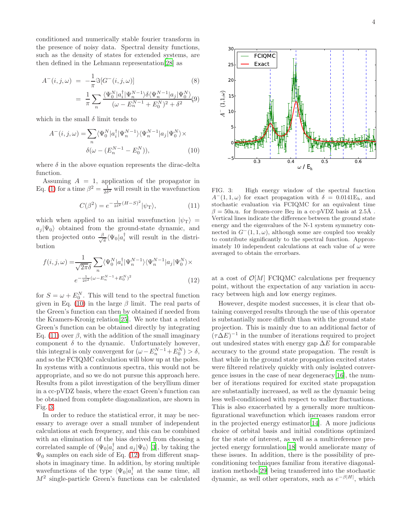conditioned and numerically stable fourier transform in the presence of noisy data. Spectral density functions, such as the density of states for extended systems, are then defined in the Lehmann representation[\[28](#page-4-26)] as

$$
A^{-}(i, j, \omega) = -\frac{1}{\pi} \Im[G^{-}(i, j, \omega)] \qquad (8)
$$
  

$$
= \frac{1}{\pi} \sum_{n} \frac{\langle \Psi_{0}^{N} | a_{i}^{\dagger} | \Psi_{n}^{N-1} \rangle \delta \langle \Psi_{n}^{N-1} | a_{j} | \Psi_{0}^{N} \rangle}{(\omega - E_{n}^{N-1} + E_{0}^{N})^{2} + \delta^{2}} \qquad (9)
$$

which in the small  $\delta$  limit tends to

$$
A^{-}(i,j,\omega) = \sum_{n} \langle \Psi_0^N | a_i^{\dagger} | \Psi_n^{N-1} \rangle \langle \Psi_n^{N-1} | a_j | \Psi_0^{N} \rangle \times
$$

$$
\delta(\omega - (E_n^{N-1} - E_0^{N})), \tag{10}
$$

where  $\delta$  in the above equation represents the dirac-delta function.

Assuming  $A = 1$ , application of the propagator in Eq. [\(1\)](#page-0-0) for a time  $\beta^2 = \frac{1}{2\delta^2}$  will result in the wavefunction

<span id="page-3-1"></span>
$$
C(\beta^2) = e^{-\frac{1}{2\delta^2}(H-S)^2} |\psi_{\rm T}\rangle,\tag{11}
$$

which when applied to an initial wavefunction  $|\psi_T\rangle$  =  $a_i |\Psi_0\rangle$  obtained from the ground-state dynamic, and then projected onto  $\frac{\beta}{\sqrt{2}}$  $\frac{\partial}{\partial \pi} \langle \Psi_0 | a_i^{\dagger} \rangle$  will result in the distribution

$$
f(i,j,\omega) = \frac{1}{\sqrt{2\pi\delta}} \sum_{n} \langle \Psi_0^N | a_i^\dagger | \Psi_n^{N-1} \rangle \langle \Psi_n^{N-1} | a_j | \Psi_0^N \rangle \times
$$
  

$$
e^{-\frac{1}{2\delta^2} (\omega - E_n^{N-1} + E_0^N)^2}
$$
 (12)

for  $S = \omega + E_0^N$ . This will tend to the spectral function given in Eq. [\(10\)](#page-3-0) in the large  $\beta$  limit. The real parts of the Green's function can then by obtained if needed from the Kramers-Kronig relation[\[25\]](#page-4-23). We note that a related Green's function can be obtained directly by integrating Eq. [\(11\)](#page-3-1) over  $\beta$ , with the addition of the small imaginary component  $\delta$  to the dynamic. Unfortunately however, this integral is only convergent for  $(\omega - E_n^{N-1} + E_0^N) > \delta$ , and so the FCIQMC calculation will blow up at the poles. In systems with a continuous spectra, this would not be appropriate, and so we do not pursue this approach here. Results from a pilot investigation of the beryllium dimer in a cc-pVDZ basis, where the exact Green's function can be obtained from complete diagonalization, are shown in Fig. [3.](#page-3-2)

In order to reduce the statistical error, it may be necessary to average over a small number of independent calculations at each frequency, and this can be combined with an elimination of the bias derived from choosing a correlated sample of  $\langle \Psi_0 | a_i^{\dagger} \text{ and } a_j | \Psi_0 \rangle$  [\[3](#page-4-2)], by taking the  $\Psi_0$  samples on each side of Eq. [\(12\)](#page-3-3) from different snapshots in imaginary time. In addition, by storing multiple wavefunctions of the type  $\langle \Psi_0 | a_i^{\dagger} \rangle$  at the same time, all M<sup>2</sup> single-particle Green's functions can be calculated





<span id="page-3-2"></span><span id="page-3-0"></span>FIG. 3: High energy window of the spectral function  $A^{-}(1,1,\omega)$  for exact propagation with  $\delta = 0.0141E_h$ , and stochastic evaluation via FCIQMC for an equivalent time  $\beta = 50$ a.u. for frozen-core Be<sub>2</sub> in a cc-pVDZ basis at 2.5Å. Vertical lines indicate the difference between the ground state energy and the eigenvalues of the N-1 system symmetry connected in  $G^-(1, 1, \omega)$ , although some are coupled too weakly to contribute significantly to the spectral function. Approximately 10 independent calculations at each value of  $\omega$  were averaged to obtain the errorbars.

<span id="page-3-3"></span>at a cost of  $\mathcal{O}[M]$  FCIQMC calculations per frequency point, without the expectation of any variation in accuracy between high and low energy regimes.

However, despite modest successes, it is clear that obtaining converged results through the use of this operator is substantially more difficult than with the ground state projection. This is mainly due to an additional factor of  $(\tau \Delta E)^{-1}$  in the number of iterations required to project out undesired states with energy gap  $\Delta E$  for comparable accuracy to the ground state propagation. The result is that while in the ground state propagation excited states were filtered relatively quickly with only isolated convergence issues in the case of near degeneracy[\[16](#page-4-13)], the number of iterations required for excited state propagation are substantially increased, as well as the dynamic being less well-conditioned with respect to walker fluctuations. This is also exacerbated by a generally more multiconfigurational wavefunction which increases random error in the projected energy estimator[\[14\]](#page-4-12). A more judicious choice of orbital basis and initial conditions optimized for the state of interest, as well as a multireference projected energy formulation[\[18\]](#page-4-16) would ameliorate many of these issues. In addition, there is the possibility of preconditioning techniques familiar from iterative diagonalization methods[\[29](#page-4-27)] being transferred into the stochastic dynamic, as well other operators, such as  $e^{-\beta|H|}$ , which